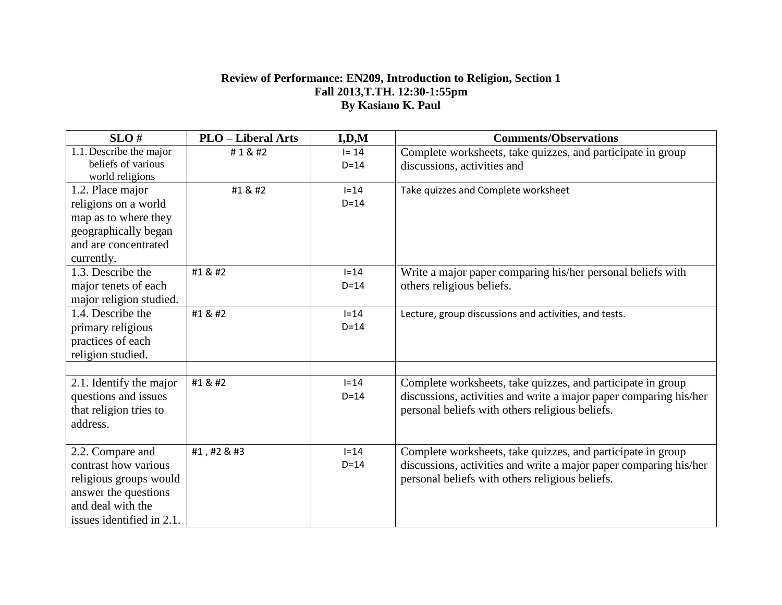## **Review of Performance: EN209, Introduction to Religion, Section 1 Fall 2013,T.TH. 12:30-1:55pm By Kasiano K. Paul**

| SLO#                      | <b>PLO</b> – Liberal Arts | I, D, M  | <b>Comments/Observations</b>                                      |
|---------------------------|---------------------------|----------|-------------------------------------------------------------------|
| 1.1. Describe the major   | #1                       | $I = 14$ | Complete worksheets, take quizzes, and participate in group       |
| beliefs of various        |                           | $D=14$   | discussions, activities and                                       |
| world religions           |                           |          |                                                                   |
| 1.2. Place major          | #1 & #2                   | $I=14$   | Take quizzes and Complete worksheet                               |
| religions on a world      |                           | $D=14$   |                                                                   |
| map as to where they      |                           |          |                                                                   |
| geographically began      |                           |          |                                                                   |
| and are concentrated      |                           |          |                                                                   |
| currently.                |                           |          |                                                                   |
| 1.3. Describe the         | #1 & #2                   | $I=14$   | Write a major paper comparing his/her personal beliefs with       |
| major tenets of each      |                           | $D=14$   | others religious beliefs.                                         |
| major religion studied.   |                           |          |                                                                   |
| 1.4. Describe the         | #1 & #2                   | $I=14$   | Lecture, group discussions and activities, and tests.             |
| primary religious         |                           | $D=14$   |                                                                   |
| practices of each         |                           |          |                                                                   |
| religion studied.         |                           |          |                                                                   |
|                           |                           |          |                                                                   |
| 2.1. Identify the major   | #1 & #2                   | $I=14$   | Complete worksheets, take quizzes, and participate in group       |
| questions and issues      |                           | $D=14$   | discussions, activities and write a major paper comparing his/her |
| that religion tries to    |                           |          | personal beliefs with others religious beliefs.                   |
| address.                  |                           |          |                                                                   |
|                           |                           |          |                                                                   |
| 2.2. Compare and          | #1, #2 & #3               | $I = 14$ | Complete worksheets, take quizzes, and participate in group       |
| contrast how various      |                           | $D=14$   | discussions, activities and write a major paper comparing his/her |
| religious groups would    |                           |          | personal beliefs with others religious beliefs.                   |
| answer the questions      |                           |          |                                                                   |
| and deal with the         |                           |          |                                                                   |
| issues identified in 2.1. |                           |          |                                                                   |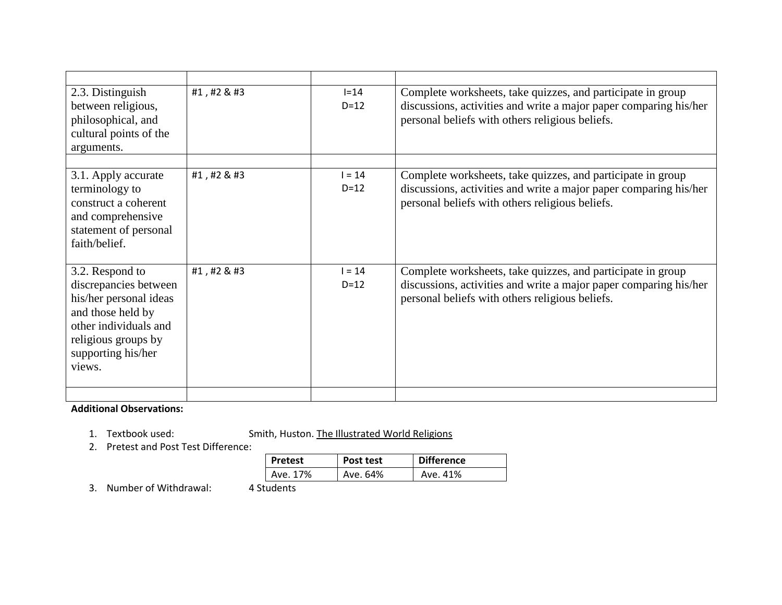| Complete worksheets, take quizzes, and participate in group<br>discussions, activities and write a major paper comparing his/her<br>personal beliefs with others religious beliefs. |
|-------------------------------------------------------------------------------------------------------------------------------------------------------------------------------------|
| Complete worksheets, take quizzes, and participate in group<br>discussions, activities and write a major paper comparing his/her<br>personal beliefs with others religious beliefs. |
| Complete worksheets, take quizzes, and participate in group<br>discussions, activities and write a major paper comparing his/her<br>personal beliefs with others religious beliefs. |
|                                                                                                                                                                                     |

## **Additional Observations:**

- 1. Textbook used: Smith, Huston. The Illustrated World Religions
- 2. Pretest and Post Test Difference:

| <b>Pretest</b> | Post test | <b>Difference</b> |  |
|----------------|-----------|-------------------|--|
| Ave. 17%       | Ave. 64%  | Ave. 41%          |  |

3. Number of Withdrawal: 4 Students